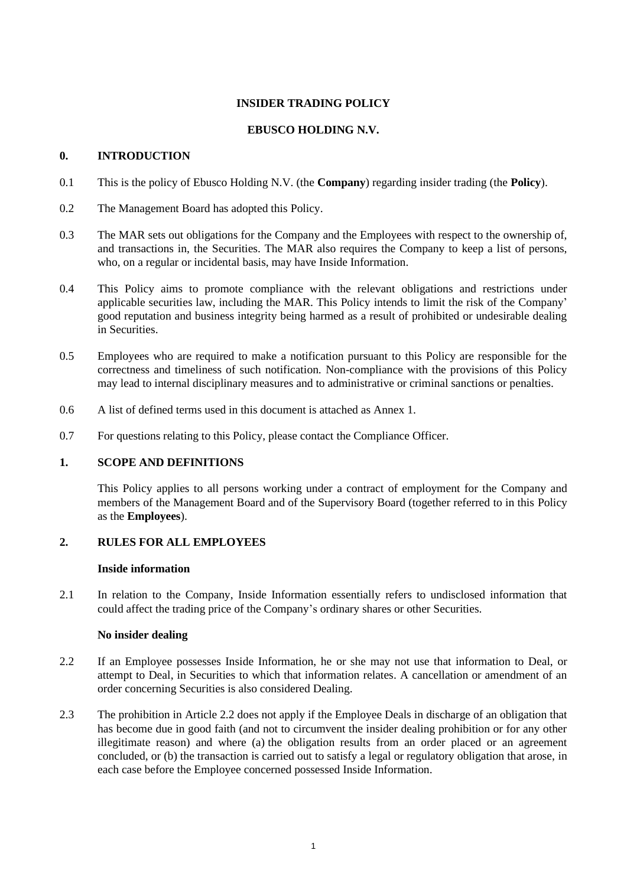# **INSIDER TRADING POLICY**

## **EBUSCO HOLDING N.V.**

# **0. INTRODUCTION**

- 0.1 This is the policy of Ebusco Holding N.V. (the **Company**) regarding insider trading (the **Policy**).
- 0.2 The Management Board has adopted this Policy.
- 0.3 The MAR sets out obligations for the Company and the Employees with respect to the ownership of, and transactions in, the Securities. The MAR also requires the Company to keep a list of persons, who, on a regular or incidental basis, may have Inside Information.
- 0.4 This Policy aims to promote compliance with the relevant obligations and restrictions under applicable securities law, including the MAR. This Policy intends to limit the risk of the Company' good reputation and business integrity being harmed as a result of prohibited or undesirable dealing in Securities.
- 0.5 Employees who are required to make a notification pursuant to this Policy are responsible for the correctness and timeliness of such notification. Non-compliance with the provisions of this Policy may lead to internal disciplinary measures and to administrative or criminal sanctions or penalties.
- 0.6 A list of defined terms used in this document is attached as Annex 1.
- 0.7 For questions relating to this Policy, please contact the Compliance Officer.

## **1. SCOPE AND DEFINITIONS**

This Policy applies to all persons working under a contract of employment for the Company and members of the Management Board and of the Supervisory Board (together referred to in this Policy as the **Employees**).

## <span id="page-0-1"></span>**2. RULES FOR ALL EMPLOYEES**

## **Inside information**

2.1 In relation to the Company, Inside Information essentially refers to undisclosed information that could affect the trading price of the Company's ordinary shares or other Securities.

## **No insider dealing**

- <span id="page-0-0"></span>2.2 If an Employee possesses Inside Information, he or she may not use that information to Deal, or attempt to Deal, in Securities to which that information relates. A cancellation or amendment of an order concerning Securities is also considered Dealing.
- 2.3 The prohibition in Article [2.2](#page-0-0) does not apply if the Employee Deals in discharge of an obligation that has become due in good faith (and not to circumvent the insider dealing prohibition or for any other illegitimate reason) and where (a) the obligation results from an order placed or an agreement concluded, or (b) the transaction is carried out to satisfy a legal or regulatory obligation that arose, in each case before the Employee concerned possessed Inside Information.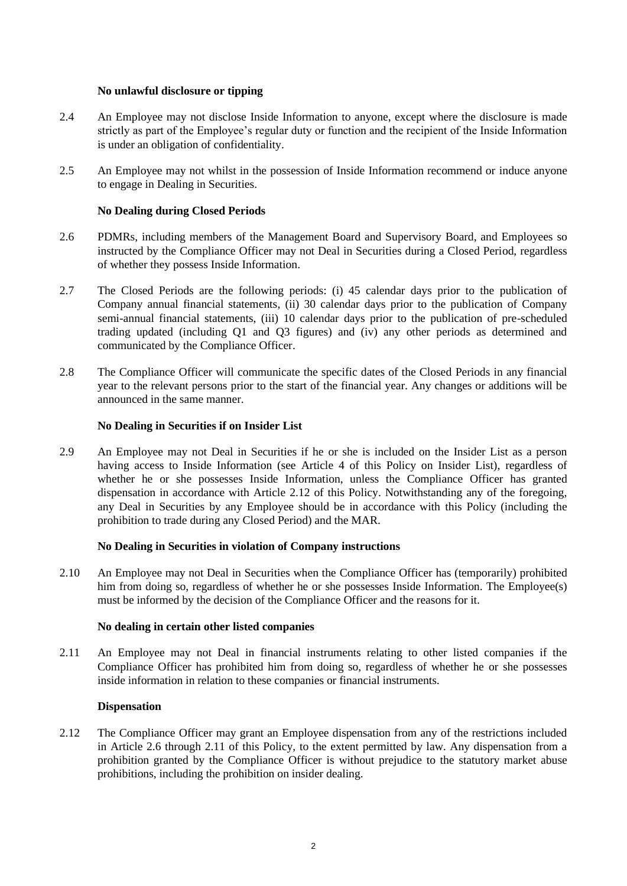## **No unlawful disclosure or tipping**

- 2.4 An Employee may not disclose Inside Information to anyone, except where the disclosure is made strictly as part of the Employee's regular duty or function and the recipient of the Inside Information is under an obligation of confidentiality.
- 2.5 An Employee may not whilst in the possession of Inside Information recommend or induce anyone to engage in Dealing in Securities.

# **No Dealing during Closed Periods**

- <span id="page-1-1"></span>2.6 PDMRs, including members of the Management Board and Supervisory Board, and Employees so instructed by the Compliance Officer may not Deal in Securities during a Closed Period, regardless of whether they possess Inside Information.
- 2.7 The Closed Periods are the following periods: (i) 45 calendar days prior to the publication of Company annual financial statements, (ii) 30 calendar days prior to the publication of Company semi-annual financial statements, (iii) 10 calendar days prior to the publication of pre-scheduled trading updated (including Q1 and Q3 figures) and (iv) any other periods as determined and communicated by the Compliance Officer.
- 2.8 The Compliance Officer will communicate the specific dates of the Closed Periods in any financial year to the relevant persons prior to the start of the financial year. Any changes or additions will be announced in the same manner.

## **No Dealing in Securities if on Insider List**

2.9 An Employee may not Deal in Securities if he or she is included on the Insider List as a person having access to Inside Information (see Article [4](#page-3-0) of this Policy on Insider List), regardless of whether he or she possesses Inside Information, unless the Compliance Officer has granted dispensation in accordance with Article [2.12](#page-1-0) of this Policy. Notwithstanding any of the foregoing, any Deal in Securities by any Employee should be in accordance with this Policy (including the prohibition to trade during any Closed Period) and the MAR.

## **No Dealing in Securities in violation of Company instructions**

2.10 An Employee may not Deal in Securities when the Compliance Officer has (temporarily) prohibited him from doing so, regardless of whether he or she possesses Inside Information. The Employee(s) must be informed by the decision of the Compliance Officer and the reasons for it.

## **No dealing in certain other listed companies**

2.11 An Employee may not Deal in financial instruments relating to other listed companies if the Compliance Officer has prohibited him from doing so, regardless of whether he or she possesses inside information in relation to these companies or financial instruments.

## **Dispensation**

<span id="page-1-0"></span>2.12 The Compliance Officer may grant an Employee dispensation from any of the restrictions included in Article 2.6 through 2.11 of this Policy, to the extent permitted by law. Any dispensation from a prohibition granted by the Compliance Officer is without prejudice to the statutory market abuse prohibitions, including the prohibition on insider dealing.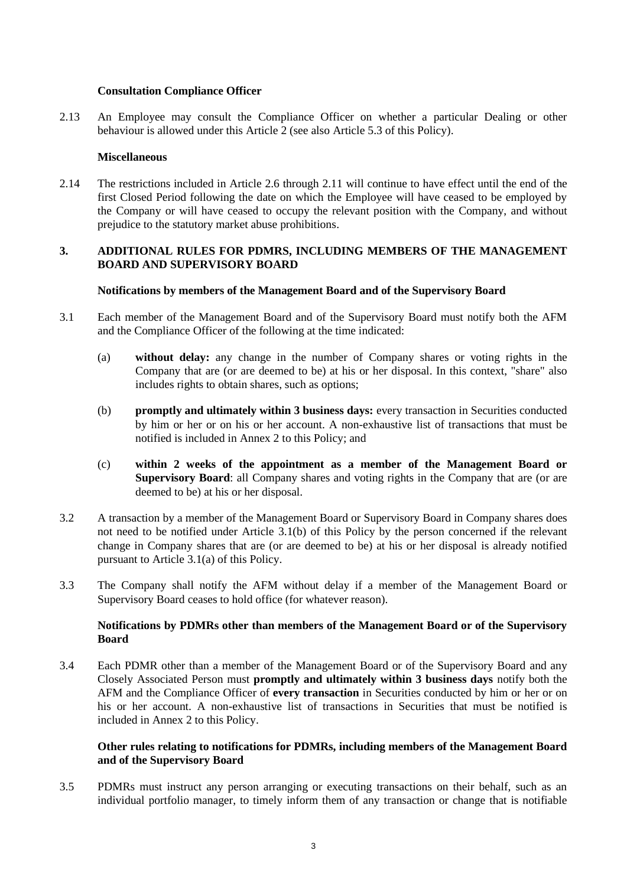## **Consultation Compliance Officer**

2.13 An Employee may consult the Compliance Officer on whether a particular Dealing or other behaviour is allowed under this Article [2](#page-0-1) (see also Article [5.3](#page-4-0) of this Policy).

## **Miscellaneous**

2.14 The restrictions included in Article [2.6](#page-1-1) through 2.11 will continue to have effect until the end of the first Closed Period following the date on which the Employee will have ceased to be employed by the Company or will have ceased to occupy the relevant position with the Company, and without prejudice to the statutory market abuse prohibitions.

## **3. ADDITIONAL RULES FOR PDMRS, INCLUDING MEMBERS OF THE MANAGEMENT BOARD AND SUPERVISORY BOARD**

## **Notifications by members of the Management Board and of the Supervisory Board**

- <span id="page-2-1"></span><span id="page-2-0"></span>3.1 Each member of the Management Board and of the Supervisory Board must notify both the AFM and the Compliance Officer of the following at the time indicated:
	- (a) **without delay:** any change in the number of Company shares or voting rights in the Company that are (or are deemed to be) at his or her disposal. In this context, "share" also includes rights to obtain shares, such as options;
	- (b) **promptly and ultimately within 3 business days:** every transaction in Securities conducted by him or her or on his or her account. A non-exhaustive list of transactions that must be notified is included in Annex 2 to this Policy; and
	- (c) **within 2 weeks of the appointment as a member of the Management Board or Supervisory Board**: all Company shares and voting rights in the Company that are (or are deemed to be) at his or her disposal.
- 3.2 A transaction by a member of the Management Board or Supervisory Board in Company shares does not need to be notified under Article [3.1\(b\)](#page-2-0) of this Policy by the person concerned if the relevant change in Company shares that are (or are deemed to be) at his or her disposal is already notified pursuant to Article [3.1\(a\)](#page-2-1) of this Policy.
- 3.3 The Company shall notify the AFM without delay if a member of the Management Board or Supervisory Board ceases to hold office (for whatever reason).

## **Notifications by PDMRs other than members of the Management Board or of the Supervisory Board**

3.4 Each PDMR other than a member of the Management Board or of the Supervisory Board and any Closely Associated Person must **promptly and ultimately within 3 business days** notify both the AFM and the Compliance Officer of **every transaction** in Securities conducted by him or her or on his or her account. A non-exhaustive list of transactions in Securities that must be notified is included in Annex 2 to this Policy.

# **Other rules relating to notifications for PDMRs, including members of the Management Board and of the Supervisory Board**

3.5 PDMRs must instruct any person arranging or executing transactions on their behalf, such as an individual portfolio manager, to timely inform them of any transaction or change that is notifiable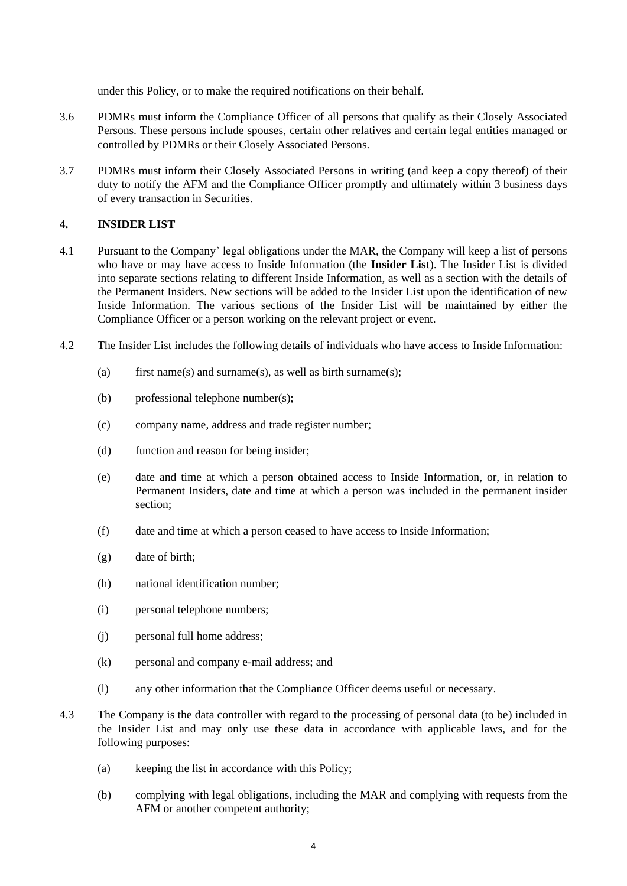under this Policy, or to make the required notifications on their behalf.

- 3.6 PDMRs must inform the Compliance Officer of all persons that qualify as their Closely Associated Persons. These persons include spouses, certain other relatives and certain legal entities managed or controlled by PDMRs or their Closely Associated Persons.
- 3.7 PDMRs must inform their Closely Associated Persons in writing (and keep a copy thereof) of their duty to notify the AFM and the Compliance Officer promptly and ultimately within 3 business days of every transaction in Securities.

# <span id="page-3-0"></span>**4. INSIDER LIST**

- 4.1 Pursuant to the Company' legal obligations under the MAR, the Company will keep a list of persons who have or may have access to Inside Information (the **Insider List**). The Insider List is divided into separate sections relating to different Inside Information, as well as a section with the details of the Permanent Insiders. New sections will be added to the Insider List upon the identification of new Inside Information. The various sections of the Insider List will be maintained by either the Compliance Officer or a person working on the relevant project or event.
- 4.2 The Insider List includes the following details of individuals who have access to Inside Information:
	- (a) first name(s) and surname(s), as well as birth surname(s);
	- (b) professional telephone number(s);
	- (c) company name, address and trade register number;
	- (d) function and reason for being insider;
	- (e) date and time at which a person obtained access to Inside Information, or, in relation to Permanent Insiders, date and time at which a person was included in the permanent insider section;
	- (f) date and time at which a person ceased to have access to Inside Information;
	- (g) date of birth;
	- (h) national identification number;
	- (i) personal telephone numbers;
	- (j) personal full home address;
	- (k) personal and company e-mail address; and
	- (l) any other information that the Compliance Officer deems useful or necessary.
- 4.3 The Company is the data controller with regard to the processing of personal data (to be) included in the Insider List and may only use these data in accordance with applicable laws, and for the following purposes:
	- (a) keeping the list in accordance with this Policy;
	- (b) complying with legal obligations, including the MAR and complying with requests from the AFM or another competent authority;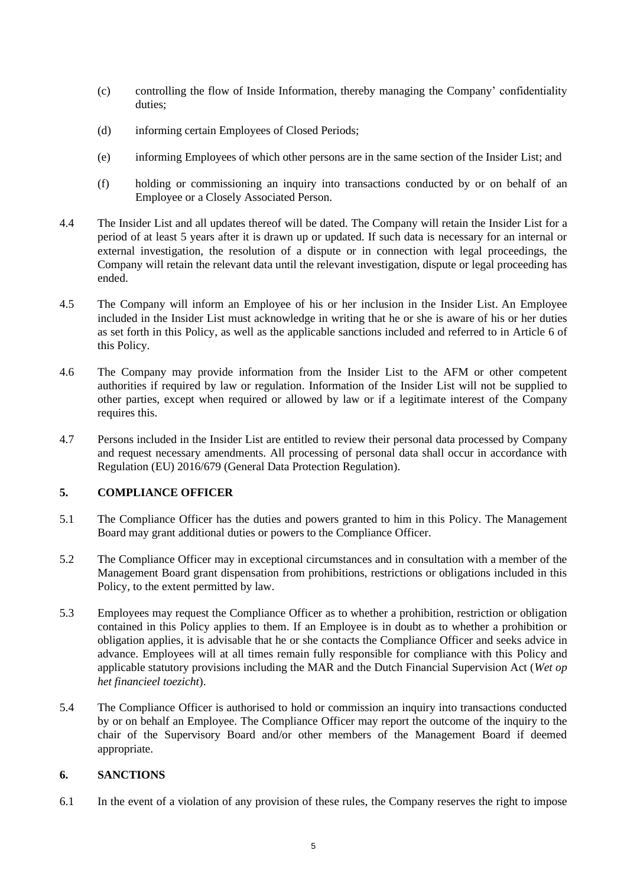- (c) controlling the flow of Inside Information, thereby managing the Company' confidentiality duties:
- (d) informing certain Employees of Closed Periods;
- (e) informing Employees of which other persons are in the same section of the Insider List; and
- (f) holding or commissioning an inquiry into transactions conducted by or on behalf of an Employee or a Closely Associated Person.
- 4.4 The Insider List and all updates thereof will be dated. The Company will retain the Insider List for a period of at least 5 years after it is drawn up or updated. If such data is necessary for an internal or external investigation, the resolution of a dispute or in connection with legal proceedings, the Company will retain the relevant data until the relevant investigation, dispute or legal proceeding has ended.
- 4.5 The Company will inform an Employee of his or her inclusion in the Insider List. An Employee included in the Insider List must acknowledge in writing that he or she is aware of his or her duties as set forth in this Policy, as well as the applicable sanctions included and referred to in Article [6](#page-4-1) of this Policy.
- 4.6 The Company may provide information from the Insider List to the AFM or other competent authorities if required by law or regulation. Information of the Insider List will not be supplied to other parties, except when required or allowed by law or if a legitimate interest of the Company requires this.
- 4.7 Persons included in the Insider List are entitled to review their personal data processed by Company and request necessary amendments. All processing of personal data shall occur in accordance with Regulation (EU) 2016/679 (General Data Protection Regulation).

# **5. COMPLIANCE OFFICER**

- 5.1 The Compliance Officer has the duties and powers granted to him in this Policy. The Management Board may grant additional duties or powers to the Compliance Officer.
- 5.2 The Compliance Officer may in exceptional circumstances and in consultation with a member of the Management Board grant dispensation from prohibitions, restrictions or obligations included in this Policy, to the extent permitted by law.
- <span id="page-4-0"></span>5.3 Employees may request the Compliance Officer as to whether a prohibition, restriction or obligation contained in this Policy applies to them. If an Employee is in doubt as to whether a prohibition or obligation applies, it is advisable that he or she contacts the Compliance Officer and seeks advice in advance. Employees will at all times remain fully responsible for compliance with this Policy and applicable statutory provisions including the MAR and the Dutch Financial Supervision Act (*Wet op het financieel toezicht*).
- 5.4 The Compliance Officer is authorised to hold or commission an inquiry into transactions conducted by or on behalf an Employee. The Compliance Officer may report the outcome of the inquiry to the chair of the Supervisory Board and/or other members of the Management Board if deemed appropriate.

## <span id="page-4-1"></span>**6. SANCTIONS**

6.1 In the event of a violation of any provision of these rules, the Company reserves the right to impose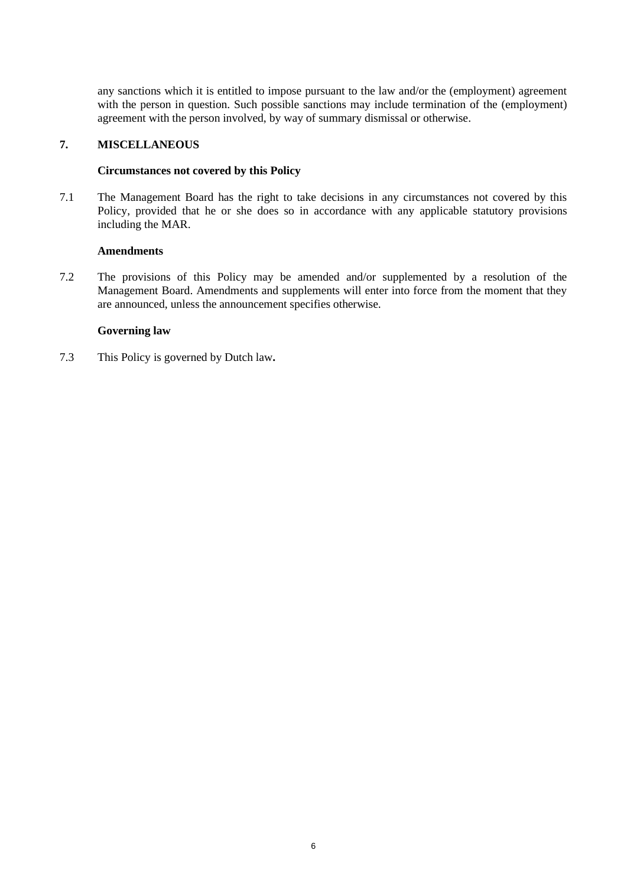any sanctions which it is entitled to impose pursuant to the law and/or the (employment) agreement with the person in question. Such possible sanctions may include termination of the (employment) agreement with the person involved, by way of summary dismissal or otherwise.

## **7. MISCELLANEOUS**

#### **Circumstances not covered by this Policy**

7.1 The Management Board has the right to take decisions in any circumstances not covered by this Policy, provided that he or she does so in accordance with any applicable statutory provisions including the MAR.

#### **Amendments**

7.2 The provisions of this Policy may be amended and/or supplemented by a resolution of the Management Board. Amendments and supplements will enter into force from the moment that they are announced, unless the announcement specifies otherwise.

#### **Governing law**

7.3 This Policy is governed by Dutch law**.**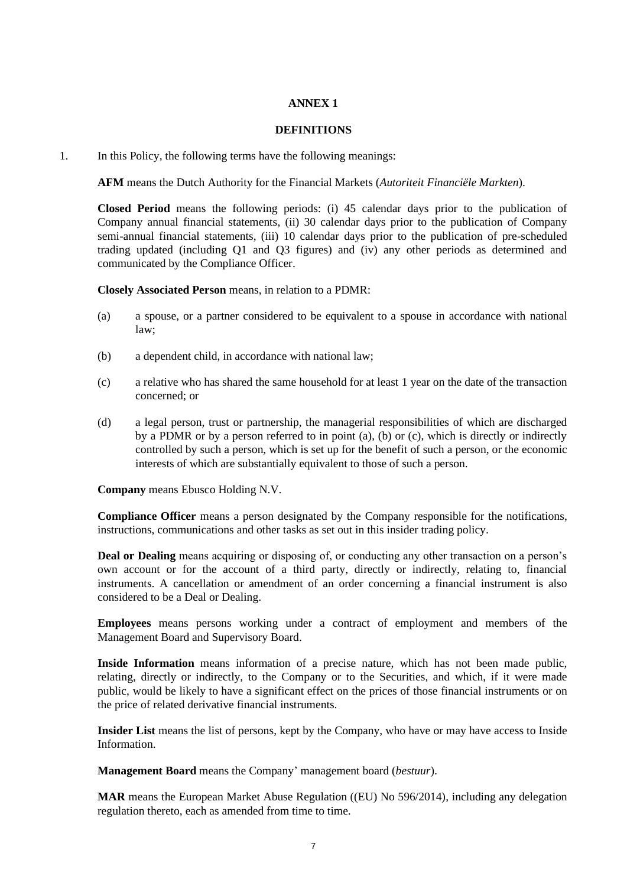## **ANNEX 1**

## **DEFINITIONS**

1. In this Policy, the following terms have the following meanings:

**AFM** means the Dutch Authority for the Financial Markets (*Autoriteit Financiële Markten*).

**Closed Period** means the following periods: (i) 45 calendar days prior to the publication of Company annual financial statements, (ii) 30 calendar days prior to the publication of Company semi-annual financial statements, (iii) 10 calendar days prior to the publication of pre-scheduled trading updated (including Q1 and Q3 figures) and (iv) any other periods as determined and communicated by the Compliance Officer.

**Closely Associated Person** means, in relation to a PDMR:

- (a) a spouse, or a partner considered to be equivalent to a spouse in accordance with national law;
- (b) a dependent child, in accordance with national law;
- (c) a relative who has shared the same household for at least 1 year on the date of the transaction concerned; or
- (d) a legal person, trust or partnership, the managerial responsibilities of which are discharged by a PDMR or by a person referred to in point (a), (b) or (c), which is directly or indirectly controlled by such a person, which is set up for the benefit of such a person, or the economic interests of which are substantially equivalent to those of such a person.

**Company** means Ebusco Holding N.V.

**Compliance Officer** means a person designated by the Company responsible for the notifications, instructions, communications and other tasks as set out in this insider trading policy.

**Deal or Dealing** means acquiring or disposing of, or conducting any other transaction on a person's own account or for the account of a third party, directly or indirectly, relating to, financial instruments. A cancellation or amendment of an order concerning a financial instrument is also considered to be a Deal or Dealing.

**Employees** means persons working under a contract of employment and members of the Management Board and Supervisory Board.

**Inside Information** means information of a precise nature, which has not been made public, relating, directly or indirectly, to the Company or to the Securities, and which, if it were made public, would be likely to have a significant effect on the prices of those financial instruments or on the price of related derivative financial instruments.

**Insider List** means the list of persons, kept by the Company, who have or may have access to Inside Information.

**Management Board** means the Company' management board (*bestuur*).

**MAR** means the European Market Abuse Regulation ((EU) No 596/2014), including any delegation regulation thereto, each as amended from time to time.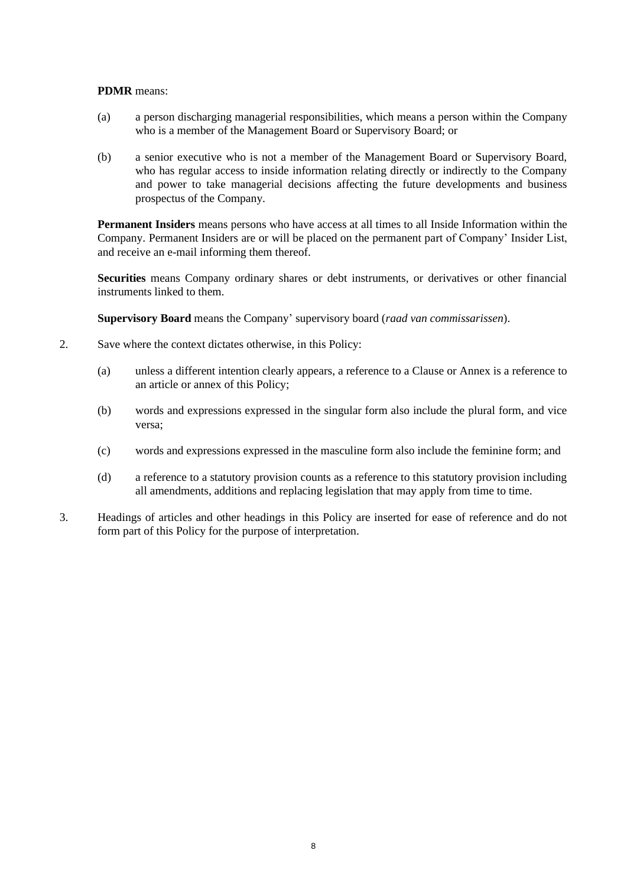## **PDMR** means:

- (a) a person discharging managerial responsibilities, which means a person within the Company who is a member of the Management Board or Supervisory Board; or
- (b) a senior executive who is not a member of the Management Board or Supervisory Board, who has regular access to inside information relating directly or indirectly to the Company and power to take managerial decisions affecting the future developments and business prospectus of the Company.

**Permanent Insiders** means persons who have access at all times to all Inside Information within the Company. Permanent Insiders are or will be placed on the permanent part of Company' Insider List, and receive an e-mail informing them thereof.

**Securities** means Company ordinary shares or debt instruments, or derivatives or other financial instruments linked to them.

**Supervisory Board** means the Company' supervisory board (*raad van commissarissen*).

- 2. Save where the context dictates otherwise, in this Policy:
	- (a) unless a different intention clearly appears, a reference to a Clause or Annex is a reference to an article or annex of this Policy;
	- (b) words and expressions expressed in the singular form also include the plural form, and vice versa;
	- (c) words and expressions expressed in the masculine form also include the feminine form; and
	- (d) a reference to a statutory provision counts as a reference to this statutory provision including all amendments, additions and replacing legislation that may apply from time to time.
- 3. Headings of articles and other headings in this Policy are inserted for ease of reference and do not form part of this Policy for the purpose of interpretation.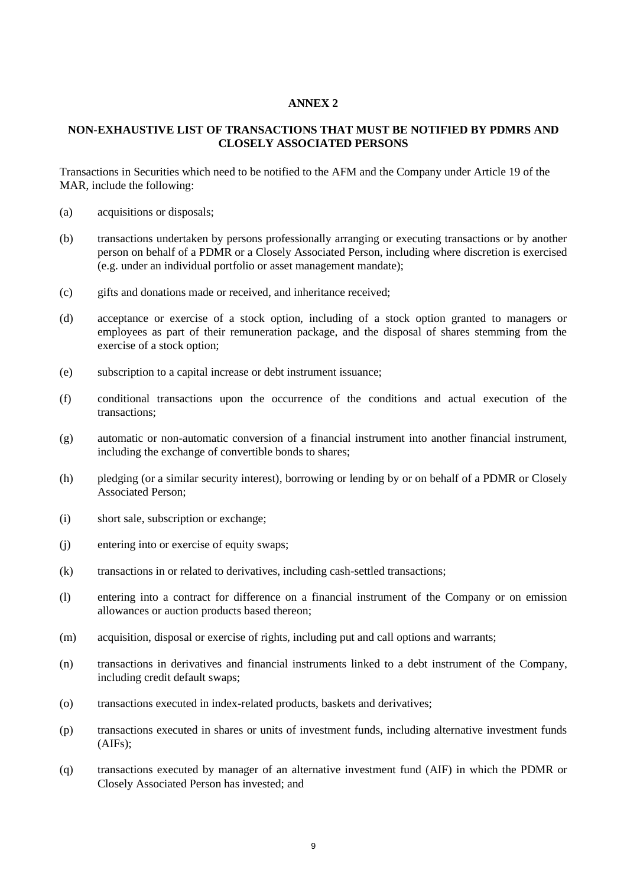## **ANNEX 2**

## **NON-EXHAUSTIVE LIST OF TRANSACTIONS THAT MUST BE NOTIFIED BY PDMRS AND CLOSELY ASSOCIATED PERSONS**

Transactions in Securities which need to be notified to the AFM and the Company under Article 19 of the MAR, include the following:

- (a) acquisitions or disposals;
- (b) transactions undertaken by persons professionally arranging or executing transactions or by another person on behalf of a PDMR or a Closely Associated Person, including where discretion is exercised (e.g. under an individual portfolio or asset management mandate);
- (c) gifts and donations made or received, and inheritance received;
- (d) acceptance or exercise of a stock option, including of a stock option granted to managers or employees as part of their remuneration package, and the disposal of shares stemming from the exercise of a stock option;
- (e) subscription to a capital increase or debt instrument issuance;
- (f) conditional transactions upon the occurrence of the conditions and actual execution of the transactions;
- (g) automatic or non-automatic conversion of a financial instrument into another financial instrument, including the exchange of convertible bonds to shares;
- (h) pledging (or a similar security interest), borrowing or lending by or on behalf of a PDMR or Closely Associated Person;
- (i) short sale, subscription or exchange;
- (j) entering into or exercise of equity swaps;
- (k) transactions in or related to derivatives, including cash-settled transactions;
- (l) entering into a contract for difference on a financial instrument of the Company or on emission allowances or auction products based thereon;
- (m) acquisition, disposal or exercise of rights, including put and call options and warrants;
- (n) transactions in derivatives and financial instruments linked to a debt instrument of the Company, including credit default swaps;
- (o) transactions executed in index-related products, baskets and derivatives;
- (p) transactions executed in shares or units of investment funds, including alternative investment funds (AIFs);
- (q) transactions executed by manager of an alternative investment fund (AIF) in which the PDMR or Closely Associated Person has invested; and